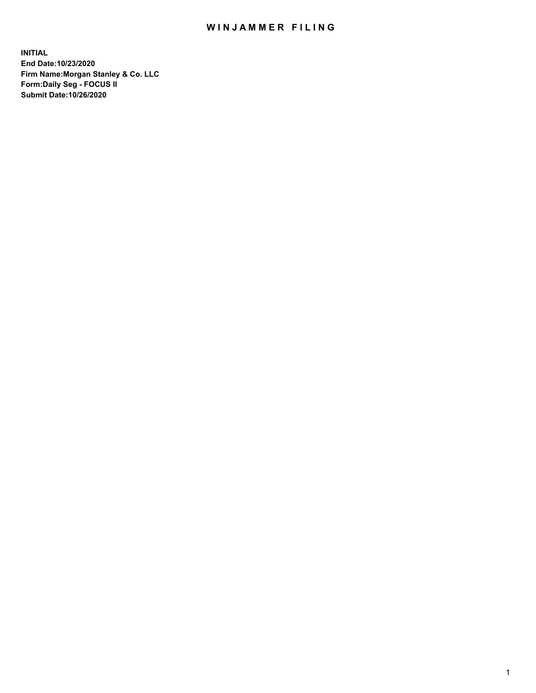## WIN JAMMER FILING

**INITIAL End Date:10/23/2020 Firm Name:Morgan Stanley & Co. LLC Form:Daily Seg - FOCUS II Submit Date:10/26/2020**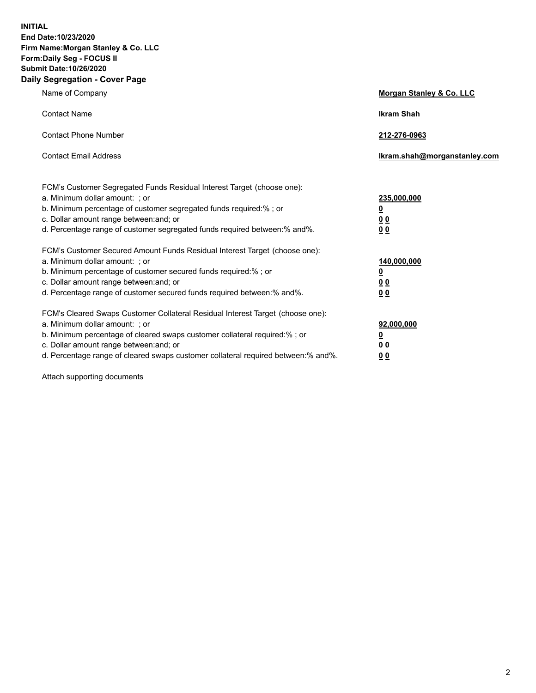**INITIAL End Date:10/23/2020 Firm Name:Morgan Stanley & Co. LLC Form:Daily Seg - FOCUS II Submit Date:10/26/2020 Daily Segregation - Cover Page**

| Name of Company                                                                                                                                                                                                                                                                                                               | Morgan Stanley & Co. LLC                               |
|-------------------------------------------------------------------------------------------------------------------------------------------------------------------------------------------------------------------------------------------------------------------------------------------------------------------------------|--------------------------------------------------------|
| <b>Contact Name</b>                                                                                                                                                                                                                                                                                                           | <b>Ikram Shah</b>                                      |
| <b>Contact Phone Number</b>                                                                                                                                                                                                                                                                                                   | 212-276-0963                                           |
| <b>Contact Email Address</b>                                                                                                                                                                                                                                                                                                  | Ikram.shah@morganstanley.com                           |
| FCM's Customer Segregated Funds Residual Interest Target (choose one):<br>a. Minimum dollar amount: ; or<br>b. Minimum percentage of customer segregated funds required:% ; or<br>c. Dollar amount range between: and; or<br>d. Percentage range of customer segregated funds required between:% and%.                        | 235,000,000<br><u>0</u><br><u>00</u><br>0 <sup>0</sup> |
| FCM's Customer Secured Amount Funds Residual Interest Target (choose one):<br>a. Minimum dollar amount: ; or<br>b. Minimum percentage of customer secured funds required:%; or<br>c. Dollar amount range between: and; or<br>d. Percentage range of customer secured funds required between:% and%.                           | 140,000,000<br><u>0</u><br><u>00</u><br>0 <sub>0</sub> |
| FCM's Cleared Swaps Customer Collateral Residual Interest Target (choose one):<br>a. Minimum dollar amount: ; or<br>b. Minimum percentage of cleared swaps customer collateral required:%; or<br>c. Dollar amount range between: and; or<br>d. Percentage range of cleared swaps customer collateral required between:% and%. | 92,000,000<br><u>0</u><br>0 Q<br>00                    |

Attach supporting documents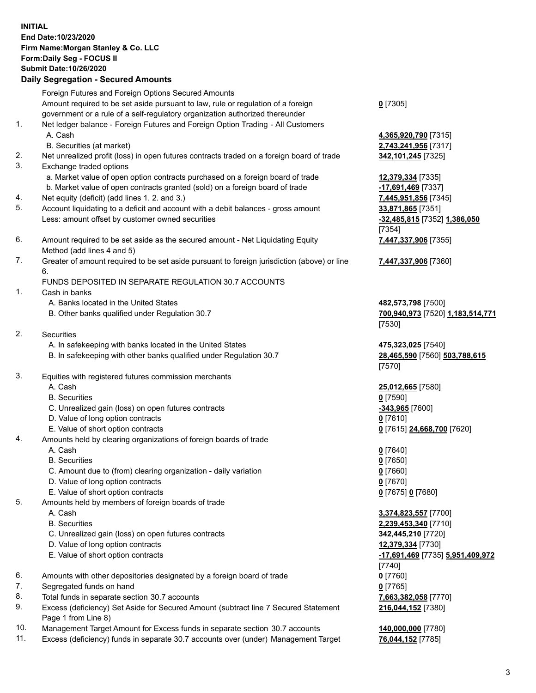## **INITIAL End Date:10/23/2020 Firm Name:Morgan Stanley & Co. LLC Form:Daily Seg - FOCUS II Submit Date:10/26/2020**

## **Daily Segregation - Secured Amounts**

Foreign Futures and Foreign Options Secured Amounts Amount required to be set aside pursuant to law, rule or regulation of a foreign government or a rule of a self-regulatory organization authorized thereunder 1. Net ledger balance - Foreign Futures and Foreign Option Trading - All Customers A. Cash **4,365,920,790** [7315] B. Securities (at market) **2,743,241,956** [7317] 2. Net unrealized profit (loss) in open futures contracts traded on a foreign board of trade **342,101,245** [7325] 3. Exchange traded options a. Market value of open option contracts purchased on a foreign board of trade **12,379,334** [7335] b. Market value of open contracts granted (sold) on a foreign board of trade **-17,691,469** [7337]

- 4. Net equity (deficit) (add lines 1. 2. and 3.) **7,445,951,856** [7345]
- 5. Account liquidating to a deficit and account with a debit balances gross amount **33,871,865** [7351] Less: amount offset by customer owned securities **-32,485,815** [7352] **1,386,050**
- 6. Amount required to be set aside as the secured amount Net Liquidating Equity Method (add lines 4 and 5)
- 7. Greater of amount required to be set aside pursuant to foreign jurisdiction (above) or line 6.

## FUNDS DEPOSITED IN SEPARATE REGULATION 30.7 ACCOUNTS

- 1. Cash in banks
	- A. Banks located in the United States **482,573,798** [7500]
	- B. Other banks qualified under Regulation 30.7 **700,940,973** [7520] **1,183,514,771**
- 2. Securities
	- A. In safekeeping with banks located in the United States **475,323,025** [7540]
	- B. In safekeeping with other banks qualified under Regulation 30.7 **28,465,590** [7560] **503,788,615**
- 3. Equities with registered futures commission merchants
	-
	- B. Securities **0** [7590]
	- C. Unrealized gain (loss) on open futures contracts **-343,965** [7600]
	- D. Value of long option contracts **0** [7610]
	- E. Value of short option contracts **0** [7615] **24,668,700** [7620]
- 4. Amounts held by clearing organizations of foreign boards of trade
	- A. Cash **0** [7640]
	- B. Securities **0** [7650]
	- C. Amount due to (from) clearing organization daily variation **0** [7660]
	- D. Value of long option contracts **0** [7670]
	- E. Value of short option contracts **0** [7675] **0** [7680]
- 5. Amounts held by members of foreign boards of trade
	-
	-
	- C. Unrealized gain (loss) on open futures contracts **342,445,210** [7720]
	- D. Value of long option contracts **12,379,334** [7730]
	-
- 6. Amounts with other depositories designated by a foreign board of trade **0** [7760]
- 7. Segregated funds on hand **0** [7765]
- 8. Total funds in separate section 30.7 accounts **7,663,382,058** [7770]
- 9. Excess (deficiency) Set Aside for Secured Amount (subtract line 7 Secured Statement Page 1 from Line 8)
- 10. Management Target Amount for Excess funds in separate section 30.7 accounts **140,000,000** [7780]
- 11. Excess (deficiency) funds in separate 30.7 accounts over (under) Management Target **76,044,152** [7785]

**0** [7305]

[7354] **7,447,337,906** [7355]

**7,447,337,906** [7360]

[7530]

[7570]

A. Cash **25,012,665** [7580]

 A. Cash **3,374,823,557** [7700] B. Securities **2,239,453,340** [7710] E. Value of short option contracts **-17,691,469** [7735] **5,951,409,972** [7740] **216,044,152** [7380]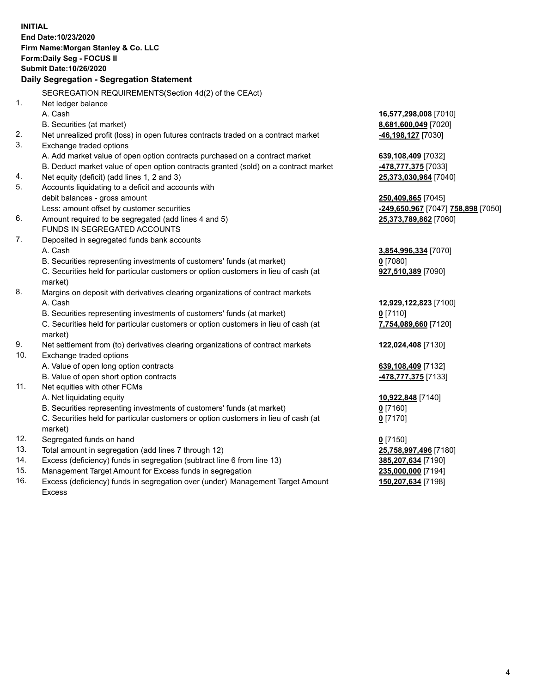|     | <b>INITIAL</b><br>End Date:10/23/2020<br>Firm Name: Morgan Stanley & Co. LLC         |                                                        |
|-----|--------------------------------------------------------------------------------------|--------------------------------------------------------|
|     | Form: Daily Seg - FOCUS II<br>Submit Date: 10/26/2020                                |                                                        |
|     |                                                                                      |                                                        |
|     | Daily Segregation - Segregation Statement                                            |                                                        |
|     | SEGREGATION REQUIREMENTS(Section 4d(2) of the CEAct)                                 |                                                        |
| 1.  | Net ledger balance                                                                   |                                                        |
|     | A. Cash                                                                              | 16,577,298,008 [7010]                                  |
|     | B. Securities (at market)                                                            | 8,681,600,049 [7020]                                   |
| 2.  | Net unrealized profit (loss) in open futures contracts traded on a contract market   | -46,198,127 [7030]                                     |
| 3.  | Exchange traded options                                                              |                                                        |
|     | A. Add market value of open option contracts purchased on a contract market          | 639,108,409 [7032]                                     |
|     | B. Deduct market value of open option contracts granted (sold) on a contract market  | 478,777,375 [7033]                                     |
| 4.  | Net equity (deficit) (add lines 1, 2 and 3)                                          | 25,373,030,964 [7040]                                  |
| 5.  | Accounts liquidating to a deficit and accounts with                                  |                                                        |
|     | debit balances - gross amount                                                        | 250,409,865 [7045]                                     |
|     | Less: amount offset by customer securities                                           | <mark>-249,650,967</mark> [7047] <b>758,898</b> [7050] |
| 6.  | Amount required to be segregated (add lines 4 and 5)<br>FUNDS IN SEGREGATED ACCOUNTS | 25,373,789,862 [7060]                                  |
| 7.  |                                                                                      |                                                        |
|     | Deposited in segregated funds bank accounts<br>A. Cash                               |                                                        |
|     | B. Securities representing investments of customers' funds (at market)               | 3,854,996,334 [7070]<br>$0$ [7080]                     |
|     | C. Securities held for particular customers or option customers in lieu of cash (at  | 927,510,389 [7090]                                     |
|     | market)                                                                              |                                                        |
| 8.  | Margins on deposit with derivatives clearing organizations of contract markets       |                                                        |
|     | A. Cash                                                                              | 12,929,122,823 [7100]                                  |
|     | B. Securities representing investments of customers' funds (at market)               | $0$ [7110]                                             |
|     | C. Securities held for particular customers or option customers in lieu of cash (at  | 7,754,089,660 [7120]                                   |
|     | market)                                                                              |                                                        |
| 9.  | Net settlement from (to) derivatives clearing organizations of contract markets      | 122,024,408 [7130]                                     |
| 10. | Exchange traded options                                                              |                                                        |
|     | A. Value of open long option contracts                                               | 639,108,409 [7132]                                     |
|     | B. Value of open short option contracts                                              | <u>-478,777,375</u> [7133]                             |
| 11. | Net equities with other FCMs                                                         |                                                        |
|     | A. Net liquidating equity                                                            | 10,922,848 [7140]                                      |
|     | B. Securities representing investments of customers' funds (at market)               | <u>0</u> [7160]                                        |
|     | C. Securities held for particular customers or option customers in lieu of cash (at  | $0$ [7170]                                             |
|     | market)                                                                              |                                                        |
| 12. | Segregated funds on hand                                                             | $0$ [7150]                                             |
| 13. | Total amount in segregation (add lines 7 through 12)                                 | 25,758,997,496 [7180]                                  |
| 14. | Excess (deficiency) funds in segregation (subtract line 6 from line 13)              | 385,207,634 [7190]                                     |
| 15. | Management Target Amount for Excess funds in segregation                             | 235,000,000 [7194]                                     |
| 16. | Excess (deficiency) funds in segregation over (under) Management Target Amount       | 150,207,634 [7198]                                     |

Excess